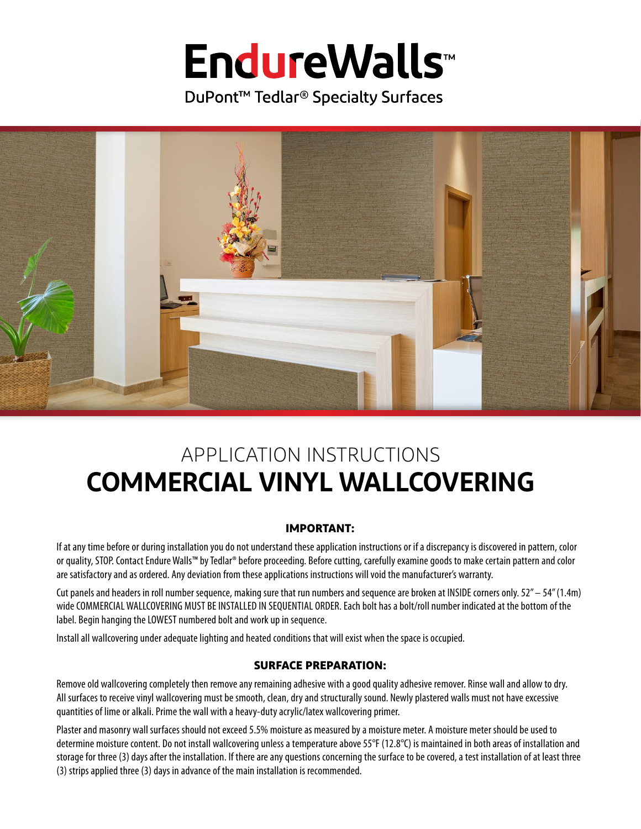# **EndureWalls**™

DuPont<sup>™</sup> Tedlar<sup>®</sup> Specialty Surfaces



# **COMMERCIAL VINYL WALLCOVERING** APPLICATION INSTRUCTIONS

# **IMPORTANT:**

If at any time before or during installation you do not understand these application instructions or if a discrepancy is discovered in pattern, color or quality, STOP. Contact Endure Walls™ by Tedlar® before proceeding. Before cutting, carefully examine goods to make certain pattern and color are satisfactory and as ordered. Any deviation from these applications instructions will void the manufacturer's warranty.

Cut panels and headers in roll number sequence, making sure that run numbers and sequence are broken at INSIDE corners only. 52" – 54" (1.4m) wide COMMERCIAL WALLCOVERING MUST BE INSTALLED IN SEQUENTIAL ORDER. Each bolt has a bolt/roll number indicated at the bottom of the label. Begin hanging the LOWEST numbered bolt and work up in sequence.

Install all wallcovering under adequate lighting and heated conditions that will exist when the space is occupied.

# **SURFACE PREPARATION:**

Remove old wallcovering completely then remove any remaining adhesive with a good quality adhesive remover. Rinse wall and allow to dry. All surfaces to receive vinyl wallcovering must be smooth, clean, dry and structurally sound. Newly plastered walls must not have excessive quantities of lime or alkali. Prime the wall with a heavy-duty acrylic/latex wallcovering primer.

Plaster and masonry wall surfaces should not exceed 5.5% moisture as measured by a moisture meter. A moisture meter should be used to determine moisture content. Do not install wallcovering unless a temperature above 55°F (12.8°C) is maintained in both areas of installation and storage for three (3) days after the installation. If there are any questions concerning the surface to be covered, a test installation of at least three (3) strips applied three (3) days in advance of the main installation is recommended.